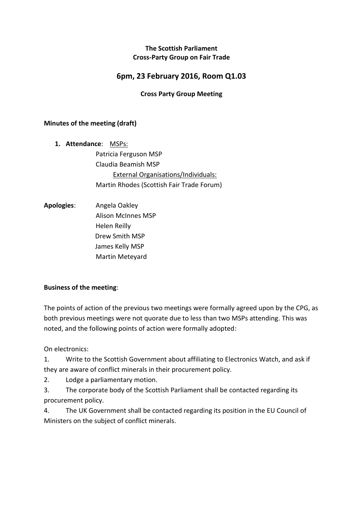## **The Scottish Parliament Cross-Party Group on Fair Trade**

# **6pm, 23 February 2016, Room Q1.03**

## **Cross Party Group Meeting**

#### **Minutes of the meeting (draft)**

- **1. Attendance**: MSPs: Patricia Ferguson MSP Claudia Beamish MSP External Organisations/Individuals: Martin Rhodes (Scottish Fair Trade Forum)
- **Apologies**: Angela Oakley Alison McInnes MSP Helen Reilly Drew Smith MSP James Kelly MSP Martin Meteyard

#### **Business of the meeting**:

The points of action of the previous two meetings were formally agreed upon by the CPG, as both previous meetings were not quorate due to less than two MSPs attending. This was noted, and the following points of action were formally adopted:

On electronics:

1. Write to the Scottish Government about affiliating to Electronics Watch, and ask if they are aware of conflict minerals in their procurement policy.

2. Lodge a parliamentary motion.

3. The corporate body of the Scottish Parliament shall be contacted regarding its procurement policy.

4. The UK Government shall be contacted regarding its position in the EU Council of Ministers on the subject of conflict minerals.